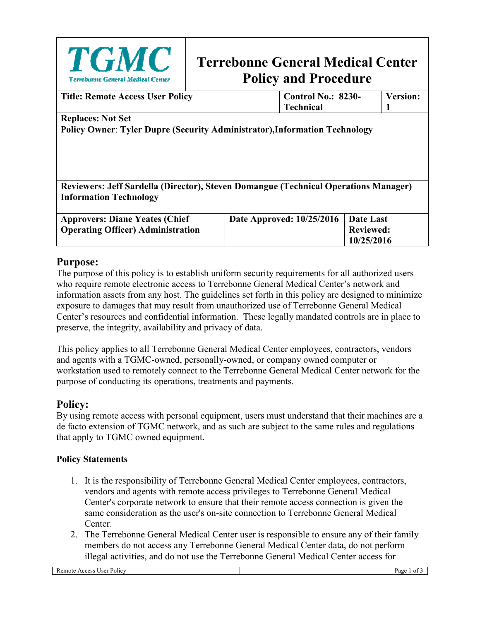

# **Terrebonne General Medical Center Policy and Procedure**

| <b>Title: Remote Access User Policy</b>                                             | <b>Control No.: 8230-</b><br><b>Technical</b> | <b>Version:</b>  |
|-------------------------------------------------------------------------------------|-----------------------------------------------|------------------|
| <b>Replaces: Not Set</b>                                                            |                                               |                  |
| <b>Policy Owner: Tyler Dupre (Security Administrator), Information Technology</b>   |                                               |                  |
|                                                                                     |                                               |                  |
|                                                                                     |                                               |                  |
|                                                                                     |                                               |                  |
|                                                                                     |                                               |                  |
| Reviewers: Jeff Sardella (Director), Steven Domangue (Technical Operations Manager) |                                               |                  |
| <b>Information Technology</b>                                                       |                                               |                  |
| <b>Approvers: Diane Yeates (Chief</b>                                               | Date Approved: 10/25/2016                     | Date Last        |
| <b>Operating Officer</b> ) Administration                                           |                                               | <b>Reviewed:</b> |
|                                                                                     |                                               | 10/25/2016       |

## **Purpose:**

The purpose of this policy is to establish uniform security requirements for all authorized users who require remote electronic access to Terrebonne General Medical Center's network and information assets from any host. The guidelines set forth in this policy are designed to minimize exposure to damages that may result from unauthorized use of Terrebonne General Medical Center's resources and confidential information. These legally mandated controls are in place to preserve, the integrity, availability and privacy of data.

This policy applies to all Terrebonne General Medical Center employees, contractors, vendors and agents with a TGMC-owned, personally-owned, or company owned computer or workstation used to remotely connect to the Terrebonne General Medical Center network for the purpose of conducting its operations, treatments and payments.

# **Policy:**

By using remote access with personal equipment, users must understand that their machines are a de facto extension of TGMC network, and as such are subject to the same rules and regulations that apply to TGMC owned equipment.

#### **Policy Statements**

- 1. It is the responsibility of Terrebonne General Medical Center employees, contractors, vendors and agents with remote access privileges to Terrebonne General Medical Center's corporate network to ensure that their remote access connection is given the same consideration as the user's on-site connection to Terrebonne General Medical Center.
- 2. The Terrebonne General Medical Center user is responsible to ensure any of their family members do not access any Terrebonne General Medical Center data, do not perform illegal activities, and do not use the Terrebonne General Medical Center access for

Remote Access User Policy Page 1 of 3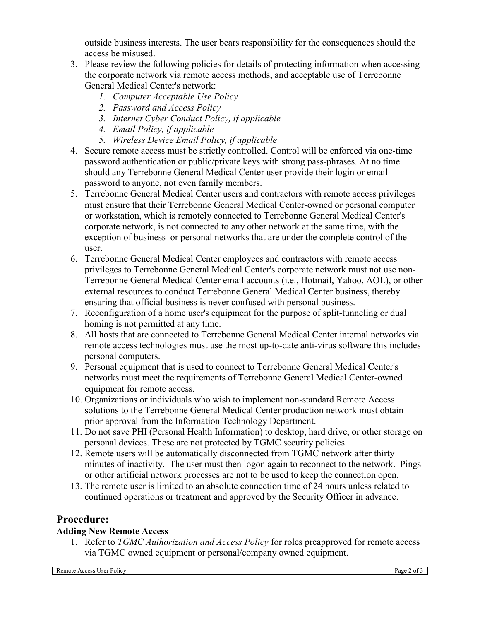outside business interests. The user bears responsibility for the consequences should the access be misused.

- 3. Please review the following policies for details of protecting information when accessing the corporate network via remote access methods, and acceptable use of Terrebonne General Medical Center's network:
	- *1. Computer Acceptable Use Policy*
	- *2. Password and Access Policy*
	- *3. Internet Cyber Conduct Policy, if applicable*
	- *4. Email Policy, if applicable*
	- *5. Wireless Device Email Policy, if applicable*
- 4. Secure remote access must be strictly controlled. Control will be enforced via one-time password authentication or public/private keys with strong pass-phrases. At no time should any Terrebonne General Medical Center user provide their login or email password to anyone, not even family members.
- 5. Terrebonne General Medical Center users and contractors with remote access privileges must ensure that their Terrebonne General Medical Center-owned or personal computer or workstation, which is remotely connected to Terrebonne General Medical Center's corporate network, is not connected to any other network at the same time, with the exception of business or personal networks that are under the complete control of the user.
- 6. Terrebonne General Medical Center employees and contractors with remote access privileges to Terrebonne General Medical Center's corporate network must not use non-Terrebonne General Medical Center email accounts (i.e., Hotmail, Yahoo, AOL), or other external resources to conduct Terrebonne General Medical Center business, thereby ensuring that official business is never confused with personal business.
- 7. Reconfiguration of a home user's equipment for the purpose of split-tunneling or dual homing is not permitted at any time.
- 8. All hosts that are connected to Terrebonne General Medical Center internal networks via remote access technologies must use the most up-to-date anti-virus software this includes personal computers.
- 9. Personal equipment that is used to connect to Terrebonne General Medical Center's networks must meet the requirements of Terrebonne General Medical Center-owned equipment for remote access.
- 10. Organizations or individuals who wish to implement non-standard Remote Access solutions to the Terrebonne General Medical Center production network must obtain prior approval from the Information Technology Department.
- 11. Do not save PHI (Personal Health Information) to desktop, hard drive, or other storage on personal devices. These are not protected by TGMC security policies.
- 12. Remote users will be automatically disconnected from TGMC network after thirty minutes of inactivity. The user must then logon again to reconnect to the network. Pings or other artificial network processes are not to be used to keep the connection open.
- 13. The remote user is limited to an absolute connection time of 24 hours unless related to continued operations or treatment and approved by the Security Officer in advance.

#### **Procedure:**

#### **Adding New Remote Access**

1. Refer to *TGMC Authorization and Access Policy* for roles preapproved for remote access via TGMC owned equipment or personal/company owned equipment.

Remote Access User Policy Page 2 of 3